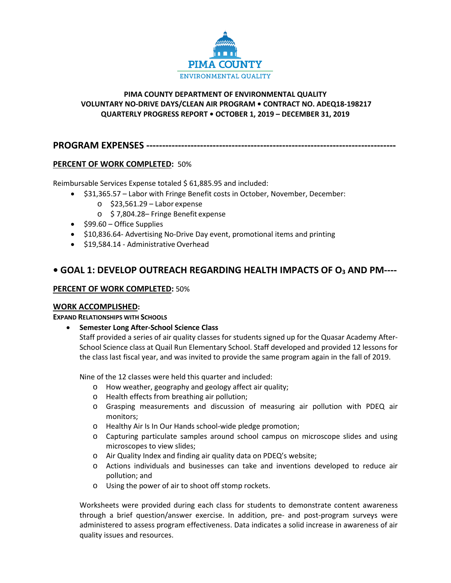

## **PIMA COUNTY DEPARTMENT OF ENVIRONMENTAL QUALITY VOLUNTARY NO-DRIVE DAYS/CLEAN AIR PROGRAM • CONTRACT NO. ADEQ18-198217 QUARTERLY PROGRESS REPORT • OCTOBER 1, 2019 – DECEMBER 31, 2019**

**PROGRAM EXPENSES -------------------------------------------------------------------------------**

# **PERCENT OF WORK COMPLETED:** 50%

Reimbursable Services Expense totaled \$ 61,885.95 and included:

- \$31,365.57 Labor with Fringe Benefit costs in October, November, December:
	- o \$23,561.29 Labor expense
	- o \$ 7,804.28– Fringe Benefit expense
- \$99.60 Office Supplies
- \$10,836.64- Advertising No-Drive Day event, promotional items and printing
- \$19,584.14 Administrative Overhead

# **• GOAL 1: DEVELOP OUTREACH REGARDING HEALTH IMPACTS OF O3 AND PM----**

## **PERCENT OF WORK COMPLETED:** 50%

### **WORK ACCOMPLISHED:**

### **EXPAND RELATIONSHIPS WITH SCHOOLS**

• **Semester Long After-School Science Class** 

Staff provided a series of air quality classes for students signed up for the Quasar Academy After-School Science class at Quail Run Elementary School. Staff developed and provided 12 lessons for the class last fiscal year, and was invited to provide the same program again in the fall of 2019.

Nine of the 12 classes were held this quarter and included:

- o How weather, geography and geology affect air quality;
- o Health effects from breathing air pollution;
- o Grasping measurements and discussion of measuring air pollution with PDEQ air monitors;
- o Healthy Air Is In Our Hands school-wide pledge promotion;
- o Capturing particulate samples around school campus on microscope slides and using microscopes to view slides;
- o Air Quality Index and finding air quality data on PDEQ's website;
- o Actions individuals and businesses can take and inventions developed to reduce air pollution; and
- o Using the power of air to shoot off stomp rockets.

Worksheets were provided during each class for students to demonstrate content awareness through a brief question/answer exercise. In addition, pre- and post-program surveys were administered to assess program effectiveness. Data indicates a solid increase in awareness of air quality issues and resources.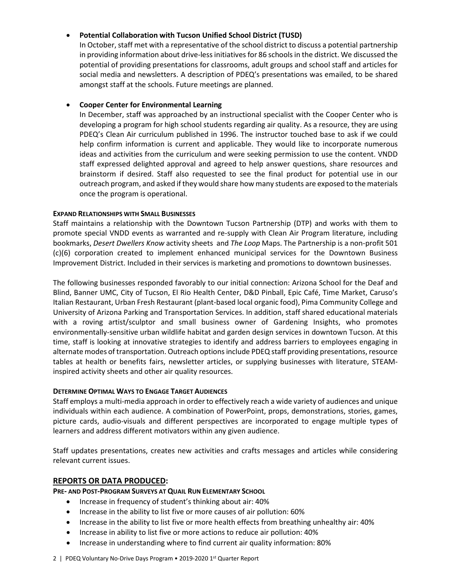## • **Potential Collaboration with Tucson Unified School District (TUSD)**

In October, staff met with a representative of the school district to discuss a potential partnership in providing information about drive-lessinitiatives for 86 schools in the district. We discussed the potential of providing presentations for classrooms, adult groups and school staff and articles for social media and newsletters. A description of PDEQ's presentations was emailed, to be shared amongst staff at the schools. Future meetings are planned.

### • **Cooper Center for Environmental Learning**

In December, staff was approached by an instructional specialist with the Cooper Center who is developing a program for high school students regarding air quality. As a resource, they are using PDEQ's Clean Air curriculum published in 1996. The instructor touched base to ask if we could help confirm information is current and applicable. They would like to incorporate numerous ideas and activities from the curriculum and were seeking permission to use the content. VNDD staff expressed delighted approval and agreed to help answer questions, share resources and brainstorm if desired. Staff also requested to see the final product for potential use in our outreach program, and asked if they would share how many students are exposed to the materials once the program is operational.

### **EXPAND RELATIONSHIPS WITH SMALL BUSINESSES**

Staff maintains a relationship with the Downtown Tucson Partnership (DTP) and works with them to promote special VNDD events as warranted and re-supply with Clean Air Program literature, including bookmarks, *Desert Dwellers Know* activity sheets and *The Loop* Maps. The Partnership is a non-profit 501 (c)(6) corporation created to implement enhanced municipal services for the Downtown Business Improvement District. Included in their services is marketing and promotions to downtown businesses.

The following businesses responded favorably to our initial connection: Arizona School for the Deaf and Blind, Banner UMC, City of Tucson, El Rio Health Center, D&D Pinball, Epic Café, Time Market, Caruso's Italian Restaurant, Urban Fresh Restaurant (plant-based local organic food), Pima Community College and University of Arizona Parking and Transportation Services. In addition, staff shared educational materials with a roving artist/sculptor and small business owner of Gardening Insights, who promotes environmentally-sensitive urban wildlife habitat and garden design services in downtown Tucson. At this time, staff is looking at innovative strategies to identify and address barriers to employees engaging in alternate modes of transportation. Outreach options include PDEQ staff providing presentations, resource tables at health or benefits fairs, newsletter articles, or supplying businesses with literature, STEAMinspired activity sheets and other air quality resources.

### **DETERMINE OPTIMAL WAYS TO ENGAGE TARGET AUDIENCES**

Staff employs a multi-media approach in order to effectively reach a wide variety of audiences and unique individuals within each audience. A combination of PowerPoint, props, demonstrations, stories, games, picture cards, audio-visuals and different perspectives are incorporated to engage multiple types of learners and address different motivators within any given audience.

Staff updates presentations, creates new activities and crafts messages and articles while considering relevant current issues.

### **REPORTS OR DATA PRODUCED:**

**PRE- AND POST-PROGRAM SURVEYS AT QUAIL RUN ELEMENTARY SCHOOL**

- Increase in frequency of student's thinking about air: 40%
- Increase in the ability to list five or more causes of air pollution: 60%
- Increase in the ability to list five or more health effects from breathing unhealthy air: 40%
- Increase in ability to list five or more actions to reduce air pollution: 40%
- Increase in understanding where to find current air quality information: 80%

#### 2 | PDEQ Voluntary No-Drive Days Program • 2019-2020 1st Quarter Report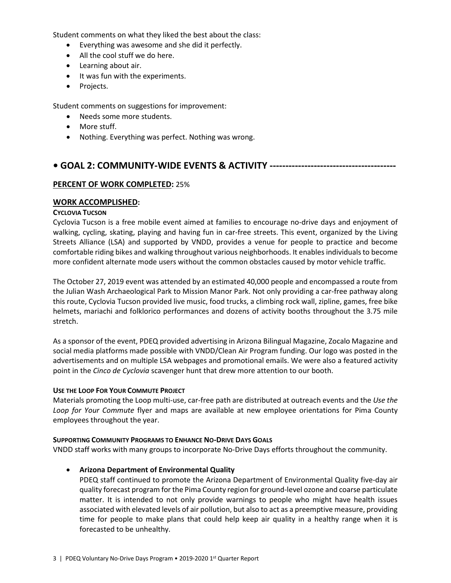Student comments on what they liked the best about the class:

- Everything was awesome and she did it perfectly.
- All the cool stuff we do here.
- Learning about air.
- It was fun with the experiments.
- Projects.

Student comments on suggestions for improvement:

- Needs some more students.
- More stuff.
- Nothing. Everything was perfect. Nothing was wrong.

# **• GOAL 2: COMMUNITY-WIDE EVENTS & ACTIVITY ----------------------------------------**

## **PERCENT OF WORK COMPLETED:** 25%

## **WORK ACCOMPLISHED:**

### **CYCLOVIA TUCSON**

Cyclovia Tucson is a free mobile event aimed at families to encourage no-drive days and enjoyment of walking, cycling, skating, playing and having fun in car-free streets. This event, organized by the Living Streets Alliance (LSA) and supported by VNDD, provides a venue for people to practice and become comfortable riding bikes and walking throughout various neighborhoods. It enables individuals to become more confident alternate mode users without the common obstacles caused by motor vehicle traffic.

The October 27, 2019 event was attended by an estimated 40,000 people and encompassed a route from the Julian Wash Archaeological Park to Mission Manor Park. Not only providing a car-free pathway along this route, Cyclovia Tucson provided live music, food trucks, a climbing rock wall, zipline, games, free bike helmets, mariachi and folklorico performances and dozens of activity booths throughout the 3.75 mile stretch.

As a sponsor of the event, PDEQ provided advertising in Arizona Bilingual Magazine, Zocalo Magazine and social media platforms made possible with VNDD/Clean Air Program funding. Our logo was posted in the advertisements and on multiple LSA webpages and promotional emails. We were also a featured activity point in the *Cinco de Cyclovia* scavenger hunt that drew more attention to our booth.

### **USE THE LOOP FOR YOUR COMMUTE PROJECT**

Materials promoting the Loop multi-use, car-free path are distributed at outreach events and the *Use the Loop for Your Commute* flyer and maps are available at new employee orientations for Pima County employees throughout the year.

### **SUPPORTING COMMUNITY PROGRAMS TO ENHANCE NO-DRIVE DAYS GOALS**

VNDD staff works with many groups to incorporate No-Drive Days efforts throughout the community.

• **Arizona Department of Environmental Quality**

PDEQ staff continued to promote the Arizona Department of Environmental Quality five-day air quality forecast program for the Pima County region for ground-level ozone and coarse particulate matter. It is intended to not only provide warnings to people who might have health issues associated with elevated levels of air pollution, but also to act as a preemptive measure, providing time for people to make plans that could help keep air quality in a healthy range when it is forecasted to be unhealthy.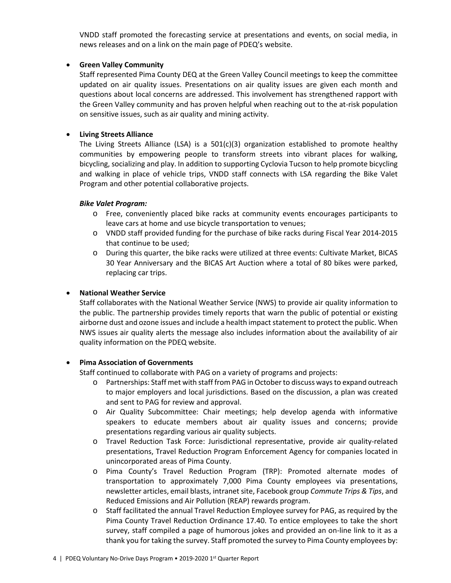VNDD staff promoted the forecasting service at presentations and events, on social media, in news releases and on a link on the main page of PDEQ's website.

### • **Green Valley Community**

Staff represented Pima County DEQ at the Green Valley Council meetings to keep the committee updated on air quality issues. Presentations on air quality issues are given each month and questions about local concerns are addressed. This involvement has strengthened rapport with the Green Valley community and has proven helpful when reaching out to the at-risk population on sensitive issues, such as air quality and mining activity.

## • **Living Streets Alliance**

The Living Streets Alliance (LSA) is a 501(c)(3) organization established to promote healthy communities by empowering people to transform streets into vibrant places for walking, bicycling, socializing and play. In addition to supporting Cyclovia Tucson to help promote bicycling and walking in place of vehicle trips, VNDD staff connects with LSA regarding the Bike Valet Program and other potential collaborative projects.

## *Bike Valet Program:*

- o Free, conveniently placed bike racks at community events encourages participants to leave cars at home and use bicycle transportation to venues;
- o VNDD staff provided funding for the purchase of bike racks during Fiscal Year 2014-2015 that continue to be used;
- o During this quarter, the bike racks were utilized at three events: Cultivate Market, BICAS 30 Year Anniversary and the BICAS Art Auction where a total of 80 bikes were parked, replacing car trips.

## • **National Weather Service**

Staff collaborates with the National Weather Service (NWS) to provide air quality information to the public. The partnership provides timely reports that warn the public of potential or existing airborne dust and ozone issues and include a health impact statement to protect the public. When NWS issues air quality alerts the message also includes information about the availability of air quality information on the PDEQ website.

### • **Pima Association of Governments**

Staff continued to collaborate with PAG on a variety of programs and projects:

- o Partnerships: Staff met with staff from PAG in October to discuss ways to expand outreach to major employers and local jurisdictions. Based on the discussion, a plan was created and sent to PAG for review and approval.
- o Air Quality Subcommittee: Chair meetings; help develop agenda with informative speakers to educate members about air quality issues and concerns; provide presentations regarding various air quality subjects.
- o Travel Reduction Task Force: Jurisdictional representative, provide air quality-related presentations, Travel Reduction Program Enforcement Agency for companies located in unincorporated areas of Pima County.
- o Pima County's Travel Reduction Program (TRP): Promoted alternate modes of transportation to approximately 7,000 Pima County employees via presentations, newsletter articles, email blasts, intranet site, Facebook group *Commute Trips & Tips*, and Reduced Emissions and Air Pollution (REAP) rewards program.
- $\circ$  Staff facilitated the annual Travel Reduction Employee survey for PAG, as required by the Pima County Travel Reduction Ordinance 17.40. To entice employees to take the short survey, staff compiled a page of humorous jokes and provided an on-line link to it as a thank you for taking the survey. Staff promoted the survey to Pima County employees by: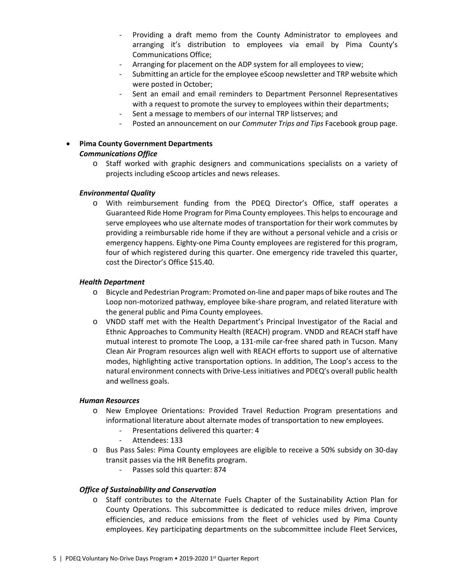- Providing a draft memo from the County Administrator to employees and arranging it's distribution to employees via email by Pima County's Communications Office;
- Arranging for placement on the ADP system for all employees to view;
- Submitting an article for the employee eScoop newsletter and TRP website which were posted in October;
- Sent an email and email reminders to Department Personnel Representatives with a request to promote the survey to employees within their departments;
- Sent a message to members of our internal TRP listserves; and
- Posted an announcement on our *Commuter Trips and Tips* Facebook group page.

# • **Pima County Government Departments**  *Communications Office*

o Staff worked with graphic designers and communications specialists on a variety of projects including eScoop articles and news releases.

#### *Environmental Quality*

o With reimbursement funding from the PDEQ Director's Office, staff operates a Guaranteed Ride Home Program for Pima County employees. This helps to encourage and serve employees who use alternate modes of transportation for their work commutes by providing a reimbursable ride home if they are without a personal vehicle and a crisis or emergency happens. Eighty-one Pima County employees are registered for this program, four of which registered during this quarter. One emergency ride traveled this quarter, cost the Director's Office \$15.40.

#### *Health Department*

- o Bicycle and Pedestrian Program: Promoted on-line and paper maps of bike routes and The Loop non-motorized pathway, employee bike-share program, and related literature with the general public and Pima County employees.
- o VNDD staff met with the Health Department's Principal Investigator of the Racial and Ethnic Approaches to Community Health (REACH) program. VNDD and REACH staff have mutual interest to promote The Loop, a 131-mile car-free shared path in Tucson. Many Clean Air Program resources align well with REACH efforts to support use of alternative modes, highlighting active transportation options. In addition, The Loop's access to the natural environment connects with Drive-Less initiatives and PDEQ's overall public health and wellness goals.

#### *Human Resources*

- o New Employee Orientations: Provided Travel Reduction Program presentations and informational literature about alternate modes of transportation to new employees.
	- Presentations delivered this quarter: 4
	- Attendees: 133
- o Bus Pass Sales: Pima County employees are eligible to receive a 50% subsidy on 30-day transit passes via the HR Benefits program.
	- Passes sold this quarter: 874

#### *Office of Sustainability and Conservation*

o Staff contributes to the Alternate Fuels Chapter of the Sustainability Action Plan for County Operations. This subcommittee is dedicated to reduce miles driven, improve efficiencies, and reduce emissions from the fleet of vehicles used by Pima County employees. Key participating departments on the subcommittee include Fleet Services,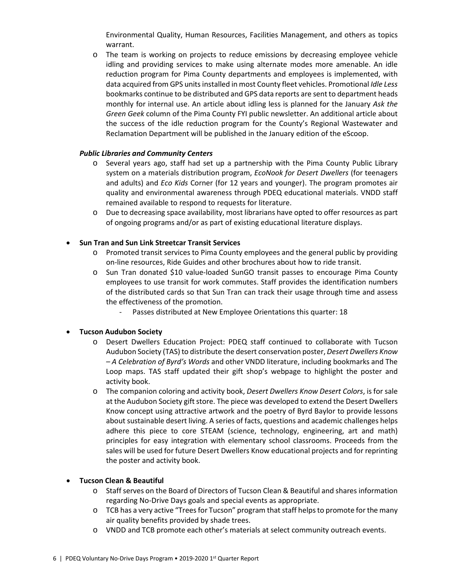Environmental Quality, Human Resources, Facilities Management, and others as topics warrant.

o The team is working on projects to reduce emissions by decreasing employee vehicle idling and providing services to make using alternate modes more amenable. An idle reduction program for Pima County departments and employees is implemented, with data acquired from GPS units installed in most County fleet vehicles. Promotional *Idle Less*  bookmarks continue to be distributed and GPS data reports are sent to department heads monthly for internal use. An article about idling less is planned for the January *Ask the Green Geek* column of the Pima County FYI public newsletter. An additional article about the success of the idle reduction program for the County's Regional Wastewater and Reclamation Department will be published in the January edition of the eScoop.

## *Public Libraries and Community Centers*

- o Several years ago, staff had set up a partnership with the Pima County Public Library system on a materials distribution program, *EcoNook for Desert Dwellers* (for teenagers and adults) and *Eco Kids* Corner (for 12 years and younger). The program promotes air quality and environmental awareness through PDEQ educational materials. VNDD staff remained available to respond to requests for literature.
- o Due to decreasing space availability, most librarians have opted to offer resources as part of ongoing programs and/or as part of existing educational literature displays.

## • **Sun Tran and Sun Link Streetcar Transit Services**

- o Promoted transit services to Pima County employees and the general public by providing on-line resources, Ride Guides and other brochures about how to ride transit.
- o Sun Tran donated \$10 value-loaded SunGO transit passes to encourage Pima County employees to use transit for work commutes. Staff provides the identification numbers of the distributed cards so that Sun Tran can track their usage through time and assess the effectiveness of the promotion.
	- Passes distributed at New Employee Orientations this quarter: 18

### • **Tucson Audubon Society**

- o Desert Dwellers Education Project: PDEQ staff continued to collaborate with Tucson Audubon Society (TAS) to distribute the desert conservation poster, *Desert Dwellers Know – A Celebration of Byrd's Words* and other VNDD literature, including bookmarks and The Loop maps. TAS staff updated their gift shop's webpage to highlight the poster and activity book.
- o The companion coloring and activity book, *Desert Dwellers Know Desert Colors*, is for sale at the Audubon Society gift store. The piece was developed to extend the Desert Dwellers Know concept using attractive artwork and the poetry of Byrd Baylor to provide lessons about sustainable desert living. A series of facts, questions and academic challenges helps adhere this piece to core STEAM (science, technology, engineering, art and math) principles for easy integration with elementary school classrooms. Proceeds from the sales will be used for future Desert Dwellers Know educational projects and for reprinting the poster and activity book.

### • **Tucson Clean & Beautiful**

- o Staff serves on the Board of Directors of Tucson Clean & Beautiful and shares information regarding No-Drive Days goals and special events as appropriate.
- o TCB has a very active "Trees for Tucson" program that staff helps to promote for the many air quality benefits provided by shade trees.
- o VNDD and TCB promote each other's materials at select community outreach events.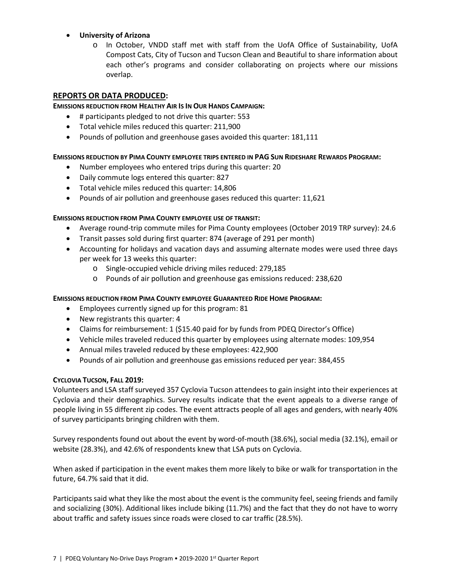### • **University of Arizona**

o In October, VNDD staff met with staff from the UofA Office of Sustainability, UofA Compost Cats, City of Tucson and Tucson Clean and Beautiful to share information about each other's programs and consider collaborating on projects where our missions overlap.

#### **REPORTS OR DATA PRODUCED:**

#### **EMISSIONS REDUCTION FROM HEALTHY AIR IS IN OUR HANDS CAMPAIGN:**

- # participants pledged to not drive this quarter: 553
- Total vehicle miles reduced this quarter: 211,900
- Pounds of pollution and greenhouse gases avoided this quarter: 181,111

#### **EMISSIONS REDUCTION BY PIMA COUNTY EMPLOYEE TRIPS ENTERED IN PAG SUN RIDESHARE REWARDS PROGRAM:**

- Number employees who entered trips during this quarter: 20
- Daily commute logs entered this quarter: 827
- Total vehicle miles reduced this quarter: 14,806
- Pounds of air pollution and greenhouse gases reduced this quarter: 11,621

#### **EMISSIONS REDUCTION FROM PIMA COUNTY EMPLOYEE USE OF TRANSIT:**

- Average round-trip commute miles for Pima County employees (October 2019 TRP survey): 24.6
- Transit passes sold during first quarter: 874 (average of 291 per month)
- Accounting for holidays and vacation days and assuming alternate modes were used three days per week for 13 weeks this quarter:
	- o Single-occupied vehicle driving miles reduced: 279,185
	- o Pounds of air pollution and greenhouse gas emissions reduced: 238,620

### **EMISSIONS REDUCTION FROM PIMA COUNTY EMPLOYEE GUARANTEED RIDE HOME PROGRAM:**

- Employees currently signed up for this program: 81
- New registrants this quarter: 4
- Claims for reimbursement: 1 (\$15.40 paid for by funds from PDEQ Director's Office)
- Vehicle miles traveled reduced this quarter by employees using alternate modes: 109,954
- Annual miles traveled reduced by these employees: 422,900
- Pounds of air pollution and greenhouse gas emissions reduced per year: 384,455

### **CYCLOVIA TUCSON, FALL 2019:**

Volunteers and LSA staff surveyed 357 Cyclovia Tucson attendees to gain insight into their experiences at Cyclovia and their demographics. Survey results indicate that the event appeals to a diverse range of people living in 55 different zip codes. The event attracts people of all ages and genders, with nearly 40% of survey participants bringing children with them.

Survey respondents found out about the event by word-of-mouth (38.6%), social media (32.1%), email or website (28.3%), and 42.6% of respondents knew that LSA puts on Cyclovia.

When asked if participation in the event makes them more likely to bike or walk for transportation in the future, 64.7% said that it did.

Participants said what they like the most about the event is the community feel, seeing friends and family and socializing (30%). Additional likes include biking (11.7%) and the fact that they do not have to worry about traffic and safety issues since roads were closed to car traffic (28.5%).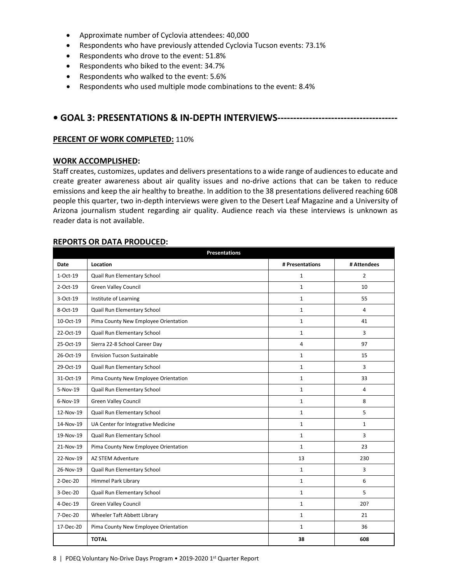- Approximate number of Cyclovia attendees: 40,000
- Respondents who have previously attended Cyclovia Tucson events: 73.1%
- Respondents who drove to the event: 51.8%
- Respondents who biked to the event: 34.7%
- Respondents who walked to the event: 5.6%
- Respondents who used multiple mode combinations to the event: 8.4%

# **• GOAL 3: PRESENTATIONS & IN-DEPTH INTERVIEWS--------------------------------------**

#### **PERCENT OF WORK COMPLETED:** 110%

#### **WORK ACCOMPLISHED:**

Staff creates, customizes, updates and delivers presentations to a wide range of audiences to educate and create greater awareness about air quality issues and no-drive actions that can be taken to reduce emissions and keep the air healthy to breathe. In addition to the 38 presentations delivered reaching 608 people this quarter, two in-depth interviews were given to the Desert Leaf Magazine and a University of Arizona journalism student regarding air quality. Audience reach via these interviews is unknown as reader data is not available.

#### **REPORTS OR DATA PRODUCED:**

| <b>Presentations</b> |                                      |                 |              |  |  |  |
|----------------------|--------------------------------------|-----------------|--------------|--|--|--|
| <b>Date</b>          | Location                             | # Presentations | # Attendees  |  |  |  |
| 1-Oct-19             | Quail Run Elementary School          | $\mathbf{1}$    | 2            |  |  |  |
| 2-Oct-19             | <b>Green Valley Council</b>          | $\mathbf{1}$    | 10           |  |  |  |
| 3-Oct-19             | Institute of Learning                | $\mathbf{1}$    | 55           |  |  |  |
| 8-Oct-19             | Quail Run Elementary School          | 1               | 4            |  |  |  |
| 10-Oct-19            | Pima County New Employee Orientation | $\mathbf{1}$    | 41           |  |  |  |
| 22-Oct-19            | Quail Run Elementary School          | 1               | 3            |  |  |  |
| 25-Oct-19            | Sierra 22-8 School Career Day        | 4               | 97           |  |  |  |
| 26-Oct-19            | <b>Envision Tucson Sustainable</b>   | $\mathbf{1}$    | 15           |  |  |  |
| 29-Oct-19            | Quail Run Elementary School          | $\mathbf{1}$    | 3            |  |  |  |
| 31-Oct-19            | Pima County New Employee Orientation | $\mathbf{1}$    | 33           |  |  |  |
| 5-Nov-19             | Quail Run Elementary School          | $\mathbf{1}$    | 4            |  |  |  |
| $6-Nov-19$           | <b>Green Valley Council</b>          | $\mathbf{1}$    | 8            |  |  |  |
| 12-Nov-19            | Quail Run Elementary School          | $\mathbf{1}$    | 5            |  |  |  |
| 14-Nov-19            | UA Center for Integrative Medicine   | $\mathbf 1$     | $\mathbf{1}$ |  |  |  |
| 19-Nov-19            | Quail Run Elementary School          | $\mathbf 1$     | 3            |  |  |  |
| 21-Nov-19            | Pima County New Employee Orientation | $\mathbf{1}$    | 23           |  |  |  |
| 22-Nov-19            | <b>AZ STEM Adventure</b>             | 13              | 230          |  |  |  |
| 26-Nov-19            | Quail Run Elementary School          | $\mathbf{1}$    | 3            |  |  |  |
| 2-Dec-20             | <b>Himmel Park Library</b>           | $\mathbf{1}$    | 6            |  |  |  |
| 3-Dec-20             | Quail Run Elementary School          | $\mathbf{1}$    | 5            |  |  |  |
| 4-Dec-19             | <b>Green Valley Council</b>          | $\mathbf 1$     | 20?          |  |  |  |
| 7-Dec-20             | Wheeler Taft Abbett Library          | $\mathbf 1$     | 21           |  |  |  |
| 17-Dec-20            | Pima County New Employee Orientation | $\mathbf{1}$    | 36           |  |  |  |
|                      | <b>TOTAL</b>                         | 38              | 608          |  |  |  |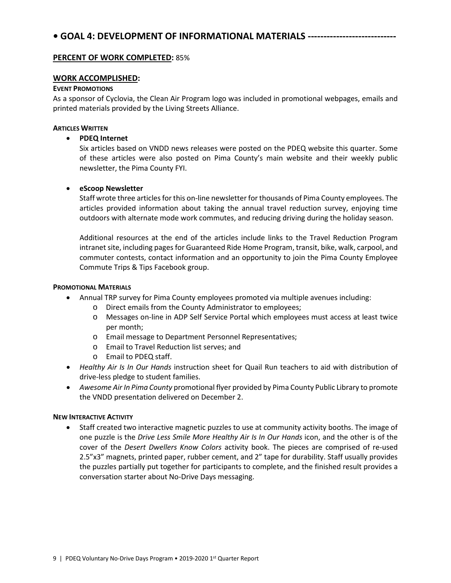### **PERCENT OF WORK COMPLETED:** 85%

### **WORK ACCOMPLISHED:**

#### **EVENT PROMOTIONS**

As a sponsor of Cyclovia, the Clean Air Program logo was included in promotional webpages, emails and printed materials provided by the Living Streets Alliance.

#### **ARTICLES WRITTEN**

### • **PDEQ Internet**

Six articles based on VNDD news releases were posted on the PDEQ website this quarter. Some of these articles were also posted on Pima County's main website and their weekly public newsletter, the Pima County FYI.

### • **eScoop Newsletter**

Staff wrote three articles for this on-line newsletter for thousands of Pima County employees. The articles provided information about taking the annual travel reduction survey, enjoying time outdoors with alternate mode work commutes, and reducing driving during the holiday season.

Additional resources at the end of the articles include links to the Travel Reduction Program intranet site, including pages for Guaranteed Ride Home Program, transit, bike, walk, carpool, and commuter contests, contact information and an opportunity to join the Pima County Employee Commute Trips & Tips Facebook group.

#### **PROMOTIONAL MATERIALS**

- Annual TRP survey for Pima County employees promoted via multiple avenues including:
	- o Direct emails from the County Administrator to employees;
	- o Messages on-line in ADP Self Service Portal which employees must access at least twice per month;
	- o Email message to Department Personnel Representatives;
	- o Email to Travel Reduction list serves; and
	- o Email to PDEQ staff.
- *Healthy Air Is In Our Hands* instruction sheet for Quail Run teachers to aid with distribution of drive-less pledge to student families.
- *Awesome Air In Pima County* promotional flyer provided by Pima County Public Library to promote the VNDD presentation delivered on December 2.

### **NEW INTERACTIVE ACTIVITY**

• Staff created two interactive magnetic puzzles to use at community activity booths. The image of one puzzle is the *Drive Less Smile More Healthy Air Is In Our Hands* icon, and the other is of the cover of the *Desert Dwellers Know Colors* activity book. The pieces are comprised of re-used 2.5"x3" magnets, printed paper, rubber cement, and 2" tape for durability. Staff usually provides the puzzles partially put together for participants to complete, and the finished result provides a conversation starter about No-Drive Days messaging.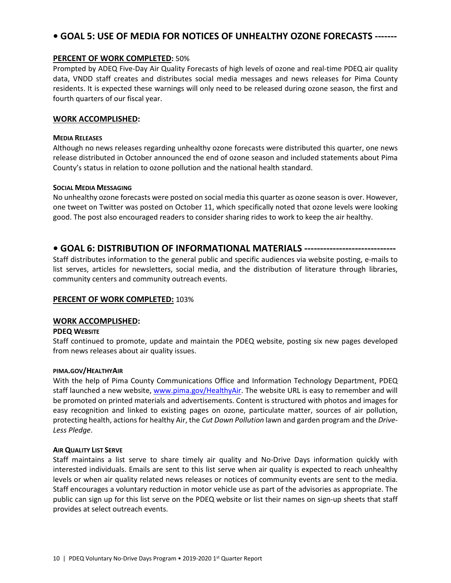# **• GOAL 5: USE OF MEDIA FOR NOTICES OF UNHEALTHY OZONE FORECASTS -------**

#### **PERCENT OF WORK COMPLETED:** 50%

Prompted by ADEQ Five-Day Air Quality Forecasts of high levels of ozone and real-time PDEQ air quality data, VNDD staff creates and distributes social media messages and news releases for Pima County residents. It is expected these warnings will only need to be released during ozone season, the first and fourth quarters of our fiscal year.

#### **WORK ACCOMPLISHED:**

#### **MEDIA RELEASES**

Although no news releases regarding unhealthy ozone forecasts were distributed this quarter, one news release distributed in October announced the end of ozone season and included statements about Pima County's status in relation to ozone pollution and the national health standard.

#### **SOCIAL MEDIA MESSAGING**

No unhealthy ozone forecasts were posted on social media this quarter as ozone season is over. However, one tweet on Twitter was posted on October 11, which specifically noted that ozone levels were looking good. The post also encouraged readers to consider sharing rides to work to keep the air healthy.

## **• GOAL 6: DISTRIBUTION OF INFORMATIONAL MATERIALS -----------------------------**

Staff distributes information to the general public and specific audiences via website posting, e-mails to list serves, articles for newsletters, social media, and the distribution of literature through libraries, community centers and community outreach events.

#### **PERCENT OF WORK COMPLETED:** 103%

#### **WORK ACCOMPLISHED:**

#### **PDEQ WEBSITE**

Staff continued to promote, update and maintain the PDEQ website, posting six new pages developed from news releases about air quality issues.

#### **PIMA.GOV/HEALTHYAIR**

With the help of Pima County Communications Office and Information Technology Department, PDEQ staff launched a new website[, www.pima.gov/HealthyAir.](http://www.pima.gov/HealthyAir) The website URL is easy to remember and will be promoted on printed materials and advertisements. Content is structured with photos and images for easy recognition and linked to existing pages on ozone, particulate matter, sources of air pollution, protecting health, actions for healthy Air, the *Cut Down Pollution* lawn and garden program and the *Drive-Less Pledge*.

#### **AIR QUALITY LIST SERVE**

Staff maintains a list serve to share timely air quality and No-Drive Days information quickly with interested individuals. Emails are sent to this list serve when air quality is expected to reach unhealthy levels or when air quality related news releases or notices of community events are sent to the media. Staff encourages a voluntary reduction in motor vehicle use as part of the advisories as appropriate. The public can sign up for this list serve on the PDEQ website or list their names on sign-up sheets that staff provides at select outreach events.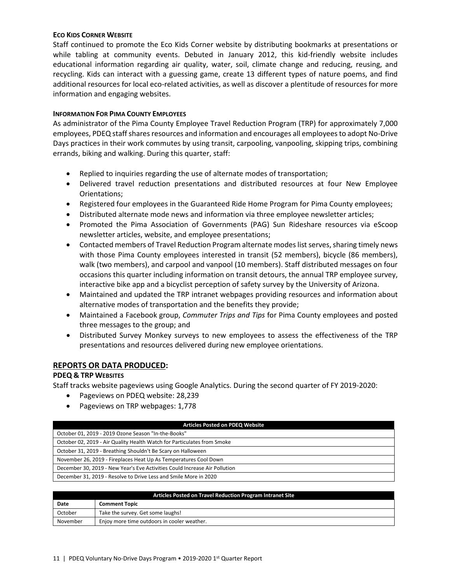#### **ECO KIDS CORNER WEBSITE**

Staff continued to promote the Eco Kids Corner website by distributing bookmarks at presentations or while tabling at community events. Debuted in January 2012, this kid-friendly website includes educational information regarding air quality, water, soil, climate change and reducing, reusing, and recycling. Kids can interact with a guessing game, create 13 different types of nature poems, and find additional resources for local eco-related activities, as well as discover a plentitude of resources for more information and engaging websites.

#### **INFORMATION FOR PIMA COUNTY EMPLOYEES**

As administrator of the Pima County Employee Travel Reduction Program (TRP) for approximately 7,000 employees, PDEQ staffshares resources and information and encourages all employees to adopt No-Drive Days practices in their work commutes by using transit, carpooling, vanpooling, skipping trips, combining errands, biking and walking. During this quarter, staff:

- Replied to inquiries regarding the use of alternate modes of transportation;
- Delivered travel reduction presentations and distributed resources at four New Employee Orientations;
- Registered four employees in the Guaranteed Ride Home Program for Pima County employees;
- Distributed alternate mode news and information via three employee newsletter articles;
- Promoted the Pima Association of Governments (PAG) Sun Rideshare resources via eScoop newsletter articles, website, and employee presentations;
- Contacted members of Travel Reduction Program alternate modes list serves, sharing timely news with those Pima County employees interested in transit (52 members), bicycle (86 members), walk (two members), and carpool and vanpool (10 members). Staff distributed messages on four occasions this quarter including information on transit detours, the annual TRP employee survey, interactive bike app and a bicyclist perception of safety survey by the University of Arizona.
- Maintained and updated the TRP intranet webpages providing resources and information about alternative modes of transportation and the benefits they provide;
- Maintained a Facebook group, *Commuter Trips and Tips* for Pima County employees and posted three messages to the group; and
- Distributed Survey Monkey surveys to new employees to assess the effectiveness of the TRP presentations and resources delivered during new employee orientations.

### **REPORTS OR DATA PRODUCED:**

### **PDEQ & TRP WEBSITES**

Staff tracks website pageviews using Google Analytics. During the second quarter of FY 2019-2020:

- Pageviews on PDEQ website: 28,239
- Pageviews on TRP webpages: 1,778

| <b>Articles Posted on PDEQ Website</b>                                     |  |  |  |
|----------------------------------------------------------------------------|--|--|--|
| October 01, 2019 - 2019 Ozone Season "In-the-Books"                        |  |  |  |
| October 02, 2019 - Air Quality Health Watch for Particulates from Smoke    |  |  |  |
| October 31, 2019 - Breathing Shouldn't Be Scary on Halloween               |  |  |  |
| November 26, 2019 - Fireplaces Heat Up As Temperatures Cool Down           |  |  |  |
| December 30, 2019 - New Year's Eve Activities Could Increase Air Pollution |  |  |  |
| December 31, 2019 - Resolve to Drive Less and Smile More in 2020           |  |  |  |
|                                                                            |  |  |  |

| Articles Posted on Travel Reduction Program Intranet Site |                                             |  |  |
|-----------------------------------------------------------|---------------------------------------------|--|--|
| Date                                                      | <b>Comment Topic</b>                        |  |  |
| October                                                   | Take the survey. Get some laughs!           |  |  |
| November                                                  | Enjoy more time outdoors in cooler weather. |  |  |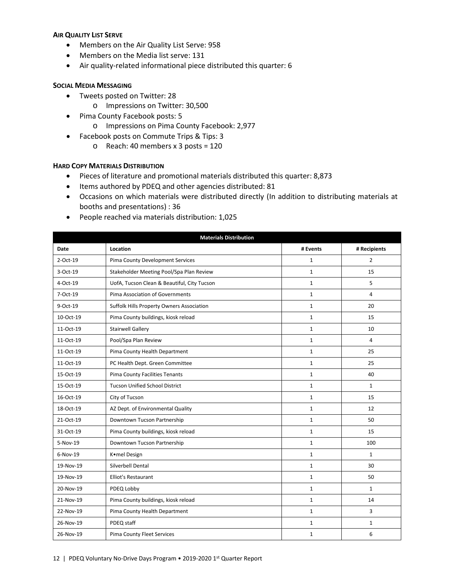#### **AIR QUALITY LIST SERVE**

- Members on the Air Quality List Serve: 958
- Members on the Media list serve: 131
- Air quality-related informational piece distributed this quarter: 6

#### **SOCIAL MEDIA MESSAGING**

- Tweets posted on Twitter: 28
	- o Impressions on Twitter: 30,500
- Pima County Facebook posts: 5
	- o Impressions on Pima County Facebook: 2,977
- Facebook posts on Commute Trips & Tips: 3
	- o Reach: 40 members x 3 posts = 120

#### **HARD COPY MATERIALS DISTRIBUTION**

- Pieces of literature and promotional materials distributed this quarter: 8,873
- Items authored by PDEQ and other agencies distributed: 81
- Occasions on which materials were distributed directly (In addition to distributing materials at booths and presentations) : 36
- People reached via materials distribution: 1,025

| <b>Materials Distribution</b> |                                             |              |                |  |
|-------------------------------|---------------------------------------------|--------------|----------------|--|
| <b>Date</b>                   | Location                                    | # Events     | # Recipients   |  |
| 2-Oct-19                      | Pima County Development Services            | $\mathbf{1}$ | $\overline{2}$ |  |
| 3-Oct-19                      | Stakeholder Meeting Pool/Spa Plan Review    | $\mathbf{1}$ | 15             |  |
| 4-Oct-19                      | UofA, Tucson Clean & Beautiful, City Tucson | $\mathbf{1}$ | 5              |  |
| 7-Oct-19                      | Pima Association of Governments             | $\mathbf 1$  | 4              |  |
| 9-Oct-19                      | Suffolk Hills Property Owners Association   | $\mathbf{1}$ | 20             |  |
| 10-Oct-19                     | Pima County buildings, kiosk reload         | $\mathbf{1}$ | 15             |  |
| 11-Oct-19                     | <b>Stairwell Gallery</b>                    | $\mathbf{1}$ | 10             |  |
| 11-Oct-19                     | Pool/Spa Plan Review                        | $\mathbf{1}$ | 4              |  |
| 11-Oct-19                     | Pima County Health Department               | $\mathbf{1}$ | 25             |  |
| 11-Oct-19                     | PC Health Dept. Green Committee             | $\mathbf{1}$ | 25             |  |
| 15-Oct-19                     | <b>Pima County Facilities Tenants</b>       | $\mathbf{1}$ | 40             |  |
| 15-Oct-19                     | <b>Tucson Unified School District</b>       | $\mathbf{1}$ | $\mathbf{1}$   |  |
| 16-Oct-19                     | City of Tucson                              | $\mathbf 1$  | 15             |  |
| 18-Oct-19                     | AZ Dept. of Environmental Quality           | $\mathbf{1}$ | 12             |  |
| 21-Oct-19                     | Downtown Tucson Partnership                 | $\mathbf{1}$ | 50             |  |
| 31-Oct-19                     | Pima County buildings, kiosk reload         | $\mathbf{1}$ | 15             |  |
| 5-Nov-19                      | Downtown Tucson Partnership                 | $\mathbf{1}$ | 100            |  |
| 6-Nov-19                      | Komel Design                                | $\mathbf{1}$ | $\mathbf{1}$   |  |
| 19-Nov-19                     | Silverbell Dental                           | $\mathbf{1}$ | 30             |  |
| 19-Nov-19                     | Elliot's Restaurant                         | $\mathbf{1}$ | 50             |  |
| 20-Nov-19                     | PDEQ Lobby                                  | $\mathbf{1}$ | $\mathbf{1}$   |  |
| 21-Nov-19                     | Pima County buildings, kiosk reload         | $\mathbf{1}$ | 14             |  |
| 22-Nov-19                     | Pima County Health Department               | $\mathbf{1}$ | 3              |  |
| 26-Nov-19                     | PDEQ staff                                  | $\mathbf{1}$ | $\mathbf{1}$   |  |
| 26-Nov-19                     | Pima County Fleet Services                  | $\mathbf{1}$ | 6              |  |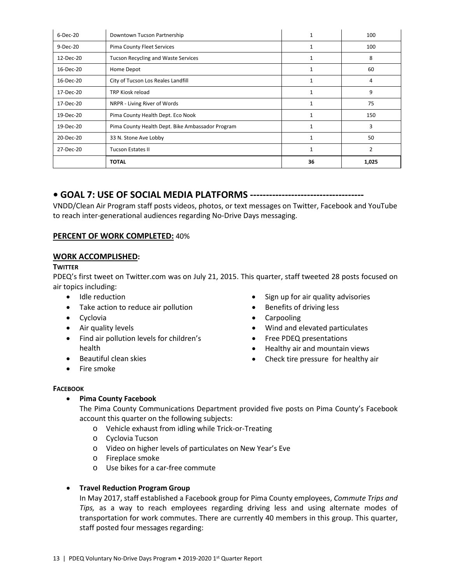| 6-Dec-20  | Downtown Tucson Partnership                      | $\mathbf{1}$ | 100            |
|-----------|--------------------------------------------------|--------------|----------------|
| 9-Dec-20  | Pima County Fleet Services                       | $\mathbf{1}$ | 100            |
| 12-Dec-20 | <b>Tucson Recycling and Waste Services</b>       | 1            | 8              |
| 16-Dec-20 | Home Depot                                       |              | 60             |
| 16-Dec-20 | City of Tucson Los Reales Landfill               | $\mathbf{1}$ | 4              |
| 17-Dec-20 | <b>TRP Kiosk reload</b>                          | 1            | 9              |
| 17-Dec-20 | NRPR - Living River of Words                     | 1            | 75             |
| 19-Dec-20 | Pima County Health Dept. Eco Nook                | 1            | 150            |
| 19-Dec-20 | Pima County Health Dept. Bike Ambassador Program | 1            | 3              |
| 20-Dec-20 | 33 N. Stone Ave Lobby<br>1                       |              | 50             |
| 27-Dec-20 | <b>Tucson Estates II</b>                         | 1            | $\overline{2}$ |
|           | <b>TOTAL</b>                                     | 36           | 1,025          |

# **• GOAL 7: USE OF SOCIAL MEDIA PLATFORMS ------------------------------------**

VNDD/Clean Air Program staff posts videos, photos, or text messages on Twitter, Facebook and YouTube to reach inter-generational audiences regarding No-Drive Days messaging.

# **PERCENT OF WORK COMPLETED:** 40%

## **WORK ACCOMPLISHED:**

# **TWITTER**

PDEQ's first tweet on Twitter.com was on July 21, 2015. This quarter, staff tweeted 28 posts focused on air topics including:

- Idle reduction
- Take action to reduce air pollution
- Cyclovia
- Air quality levels
- Find air pollution levels for children's health
- Beautiful clean skies
- Fire smoke
- Sign up for air quality advisories
- Benefits of driving less
- Carpooling
- Wind and elevated particulates
- Free PDEQ presentations
- Healthy air and mountain views
- Check tire pressure for healthy air

### **FACEBOOK**

### • **Pima County Facebook**

The Pima County Communications Department provided five posts on Pima County's Facebook account this quarter on the following subjects:

- o Vehicle exhaust from idling while Trick-or-Treating
- o Cyclovia Tucson
- o Video on higher levels of particulates on New Year's Eve
- o Fireplace smoke
- o Use bikes for a car-free commute

### • **Travel Reduction Program Group**

In May 2017, staff established a Facebook group for Pima County employees, *Commute Trips and Tips,* as a way to reach employees regarding driving less and using alternate modes of transportation for work commutes. There are currently 40 members in this group. This quarter, staff posted four messages regarding: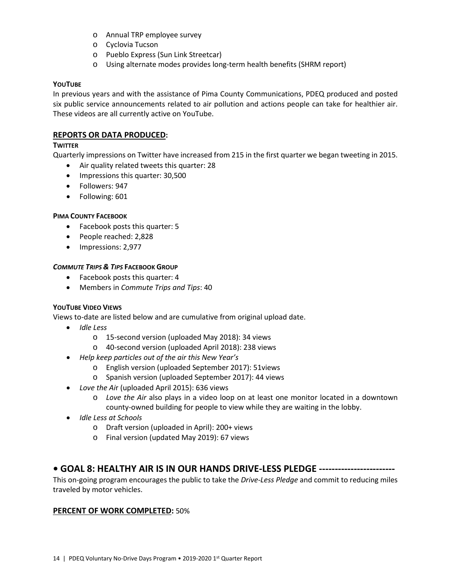- o Annual TRP employee survey
- o Cyclovia Tucson
- o Pueblo Express (Sun Link Streetcar)
- o Using alternate modes provides long-term health benefits (SHRM report)

#### **YOUTUBE**

In previous years and with the assistance of Pima County Communications, PDEQ produced and posted six public service announcements related to air pollution and actions people can take for healthier air. These videos are all currently active on YouTube.

## **REPORTS OR DATA PRODUCED:**

## **TWITTER**

Quarterly impressions on Twitter have increased from 215 in the first quarter we began tweeting in 2015.

- Air quality related tweets this quarter: 28
- Impressions this quarter: 30,500
- Followers: 947
- Following: 601

### **PIMA COUNTY FACEBOOK**

- Facebook posts this quarter: 5
- People reached: 2,828
- Impressions: 2,977

#### *COMMUTE TRIPS & TIPS* **FACEBOOK GROUP**

- Facebook posts this quarter: 4
- Members in *Commute Trips and Tips*: 40

### **YOUTUBE VIDEO VIEWS**

Views to-date are listed below and are cumulative from original upload date.

- *Idle Less*
	- o 15-second version (uploaded May 2018): 34 views
	- o 40-second version (uploaded April 2018): 238 views
- *Help keep particles out of the air this New Year's* 
	- o English version (uploaded September 2017): 51views
	- o Spanish version (uploaded September 2017): 44 views
- *Love the Ai*r (uploaded April 2015): 636 views
	- o *Love the Air* also plays in a video loop on at least one monitor located in a downtown county-owned building for people to view while they are waiting in the lobby.
- *Idle Less at Schools*
	- o Draft version (uploaded in April): 200+ views
	- o Final version (updated May 2019): 67 views

# **• GOAL 8: HEALTHY AIR IS IN OUR HANDS DRIVE-LESS PLEDGE ------------------------**

This on-going program encourages the public to take the *Drive-Less Pledge* and commit to reducing miles traveled by motor vehicles.

### **PERCENT OF WORK COMPLETED:** 50%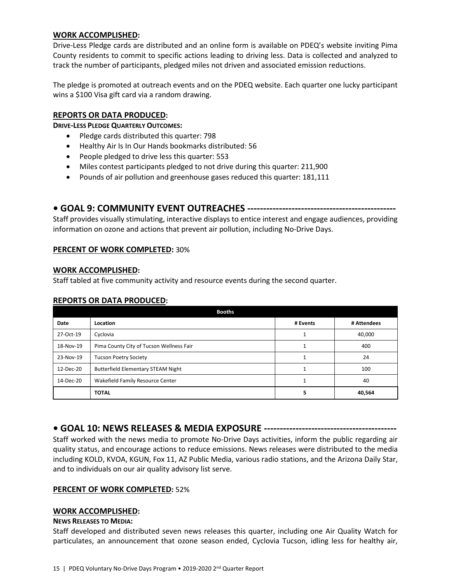#### **WORK ACCOMPLISHED:**

Drive-Less Pledge cards are distributed and an online form is available on PDEQ's website inviting Pima County residents to commit to specific actions leading to driving less. Data is collected and analyzed to track the number of participants, pledged miles not driven and associated emission reductions.

The pledge is promoted at outreach events and on the PDEQ website. Each quarter one lucky participant wins a \$100 Visa gift card via a random drawing.

### **REPORTS OR DATA PRODUCED:**

**DRIVE-LESS PLEDGE QUARTERLY OUTCOMES:**

- Pledge cards distributed this quarter: 798
- Healthy Air Is In Our Hands bookmarks distributed: 56
- People pledged to drive less this quarter: 553
- Miles contest participants pledged to not drive during this quarter: 211,900
- Pounds of air pollution and greenhouse gases reduced this quarter: 181,111

# **• GOAL 9: COMMUNITY EVENT OUTREACHES -----------------------------------------------**

Staff provides visually stimulating, interactive displays to entice interest and engage audiences, providing information on ozone and actions that prevent air pollution, including No-Drive Days.

#### **PERCENT OF WORK COMPLETED:** 30%

#### **WORK ACCOMPLISHED:**

Staff tabled at five community activity and resource events during the second quarter.

### **REPORTS OR DATA PRODUCED:**

| <b>Booths</b> |                                           |          |             |  |  |
|---------------|-------------------------------------------|----------|-------------|--|--|
| Date          | Location                                  | # Events | # Attendees |  |  |
| 27-Oct-19     | Cyclovia                                  |          | 40,000      |  |  |
| 18-Nov-19     | Pima County City of Tucson Wellness Fair  |          | 400         |  |  |
| 23-Nov-19     | <b>Tucson Poetry Society</b>              |          | 24          |  |  |
| 12-Dec-20     | <b>Butterfield Elementary STEAM Night</b> |          | 100         |  |  |
| 14-Dec-20     | Wakefield Family Resource Center          |          | 40          |  |  |
|               | <b>TOTAL</b>                              | 5        | 40,564      |  |  |

### **• GOAL 10: NEWS RELEASES & MEDIA EXPOSURE ------------------------------------------**

Staff worked with the news media to promote No-Drive Days activities, inform the public regarding air quality status, and encourage actions to reduce emissions. News releases were distributed to the media including KOLD, KVOA, KGUN, Fox 11, AZ Public Media, various radio stations, and the Arizona Daily Star, and to individuals on our air quality advisory list serve.

#### **PERCENT OF WORK COMPLETED:** 52%

#### **WORK ACCOMPLISHED:**

#### **NEWS RELEASES TO MEDIA:**

Staff developed and distributed seven news releases this quarter, including one Air Quality Watch for particulates, an announcement that ozone season ended, Cyclovia Tucson, idling less for healthy air,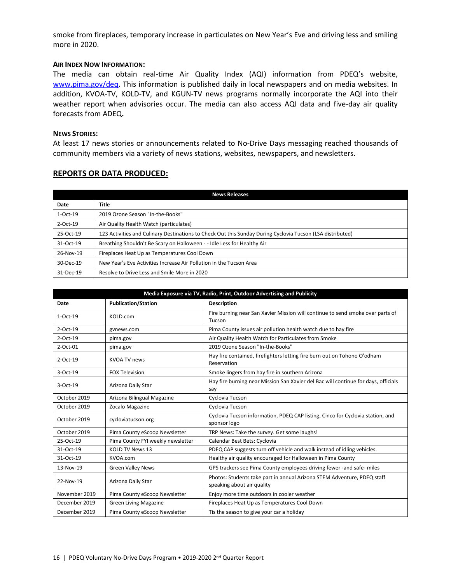smoke from fireplaces, temporary increase in particulates on New Year's Eve and driving less and smiling more in 2020.

#### **AIR INDEX NOW INFORMATION:**

The media can obtain real-time Air Quality Index (AQI) information from PDEQ's website, [www.pima.gov/deq.](http://www.pima.gov/deq) This information is published daily in local newspapers and on media websites. In addition, KVOA-TV, KOLD-TV, and KGUN-TV news programs normally incorporate the AQI into their weather report when advisories occur. The media can also access AQI data and five-day air quality forecasts from ADEQ**.**

#### **NEWS STORIES:**

At least 17 news stories or announcements related to No-Drive Days messaging reached thousands of community members via a variety of news stations, websites, newspapers, and newsletters.

#### **REPORTS OR DATA PRODUCED:**

| <b>News Releases</b> |                                                                                                            |  |  |  |
|----------------------|------------------------------------------------------------------------------------------------------------|--|--|--|
| Date                 | <b>Title</b>                                                                                               |  |  |  |
| $1-Oct-19$           | 2019 Ozone Season "In-the-Books"                                                                           |  |  |  |
| 2-Oct-19             | Air Quality Health Watch (particulates)                                                                    |  |  |  |
| 25-Oct-19            | 123 Activities and Culinary Destinations to Check Out this Sunday During Cyclovia Tucson (LSA distributed) |  |  |  |
| 31-Oct-19            | Breathing Shouldn't Be Scary on Halloween - - Idle Less for Healthy Air                                    |  |  |  |
| 26-Nov-19            | Fireplaces Heat Up as Temperatures Cool Down                                                               |  |  |  |
| 30-Dec-19            | New Year's Eve Activities Increase Air Pollution in the Tucson Area                                        |  |  |  |
| 31-Dec-19            | Resolve to Drive Less and Smile More in 2020                                                               |  |  |  |

| Media Exposure via TV, Radio, Print, Outdoor Advertising and Publicity |                                   |                                                                                                       |  |  |
|------------------------------------------------------------------------|-----------------------------------|-------------------------------------------------------------------------------------------------------|--|--|
| Date                                                                   | <b>Publication/Station</b>        | <b>Description</b>                                                                                    |  |  |
| $1-Oct-19$                                                             | KOLD.com                          | Fire burning near San Xavier Mission will continue to send smoke over parts of<br>Tucson              |  |  |
| $2$ -Oct-19                                                            | gynews.com                        | Pima County issues air pollution health watch due to hay fire                                         |  |  |
| $2$ -Oct-19                                                            | pima.gov                          | Air Quality Health Watch for Particulates from Smoke                                                  |  |  |
| 2-Oct-01                                                               | pima.gov                          | 2019 Ozone Season "In-the-Books"                                                                      |  |  |
| 2-Oct-19                                                               | <b>KVOA TV news</b>               | Hay fire contained, firefighters letting fire burn out on Tohono O'odham<br>Reservation               |  |  |
| 3-Oct-19                                                               | <b>FOX Television</b>             | Smoke lingers from hay fire in southern Arizona                                                       |  |  |
| 3-Oct-19                                                               | Arizona Daily Star                | Hay fire burning near Mission San Xavier del Bac will continue for days, officials<br>say             |  |  |
| October 2019                                                           | Arizona Bilingual Magazine        | Cyclovia Tucson                                                                                       |  |  |
| October 2019                                                           | Zocalo Magazine                   | Cyclovia Tucson                                                                                       |  |  |
| October 2019                                                           | cycloviatucson.org                | Cyclovia Tucson information, PDEQ CAP listing, Cinco for Cyclovia station, and<br>sponsor logo        |  |  |
| October 2019                                                           | Pima County eScoop Newsletter     | TRP News: Take the survey. Get some laughs!                                                           |  |  |
| 25-Oct-19                                                              | Pima County FYI weekly newsletter | Calendar Best Bets: Cyclovia                                                                          |  |  |
| 31-Oct-19                                                              | <b>KOLD TV News 13</b>            | PDEQ CAP suggests turn off vehicle and walk instead of idling vehicles.                               |  |  |
| 31-Oct-19                                                              | KVOA.com                          | Healthy air quality encouraged for Halloween in Pima County                                           |  |  |
| 13-Nov-19                                                              | <b>Green Valley News</b>          | GPS trackers see Pima County employees driving fewer -and safe- miles                                 |  |  |
| 22-Nov-19                                                              | Arizona Daily Star                | Photos: Students take part in annual Arizona STEM Adventure, PDEQ staff<br>speaking about air quality |  |  |
| November 2019                                                          | Pima County eScoop Newsletter     | Enjoy more time outdoors in cooler weather                                                            |  |  |
| December 2019                                                          | <b>Green Living Magazine</b>      | Fireplaces Heat Up as Temperatures Cool Down                                                          |  |  |
| December 2019                                                          | Pima County eScoop Newsletter     | Tis the season to give your car a holiday                                                             |  |  |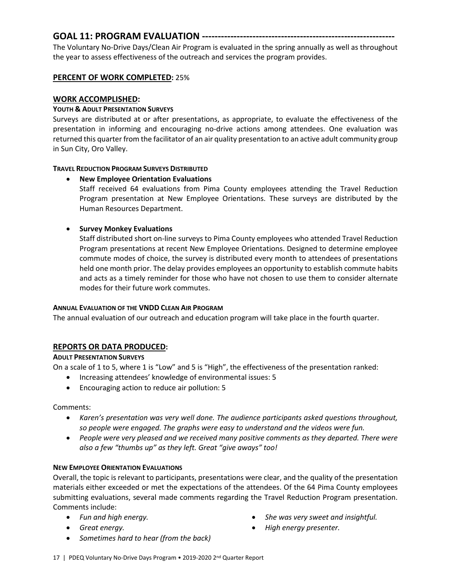# **GOAL 11: PROGRAM EVALUATION -------------------------------------------------------------**

The Voluntary No-Drive Days/Clean Air Program is evaluated in the spring annually as well as throughout the year to assess effectiveness of the outreach and services the program provides.

## **PERCENT OF WORK COMPLETED:** 25%

## **WORK ACCOMPLISHED:**

### **YOUTH & ADULT PRESENTATION SURVEYS**

Surveys are distributed at or after presentations, as appropriate, to evaluate the effectiveness of the presentation in informing and encouraging no-drive actions among attendees. One evaluation was returned this quarter from the facilitator of an air quality presentation to an active adult community group in Sun City, Oro Valley.

### **TRAVEL REDUCTION PROGRAM SURVEYS DISTRIBUTED**

### • **New Employee Orientation Evaluations**

Staff received 64 evaluations from Pima County employees attending the Travel Reduction Program presentation at New Employee Orientations. These surveys are distributed by the Human Resources Department.

## • **Survey Monkey Evaluations**

Staff distributed short on-line surveys to Pima County employees who attended Travel Reduction Program presentations at recent New Employee Orientations. Designed to determine employee commute modes of choice, the survey is distributed every month to attendees of presentations held one month prior. The delay provides employees an opportunity to establish commute habits and acts as a timely reminder for those who have not chosen to use them to consider alternate modes for their future work commutes.

### **ANNUAL EVALUATION OF THE VNDD CLEAN AIR PROGRAM**

The annual evaluation of our outreach and education program will take place in the fourth quarter.

# **REPORTS OR DATA PRODUCED:**

### **ADULT PRESENTATION SURVEYS**

On a scale of 1 to 5, where 1 is "Low" and 5 is "High", the effectiveness of the presentation ranked:

- Increasing attendees' knowledge of environmental issues: 5
- Encouraging action to reduce air pollution: 5

### Comments:

- *Karen's presentation was very well done. The audience participants asked questions throughout, so people were engaged. The graphs were easy to understand and the videos were fun.*
- *People were very pleased and we received many positive comments as they departed. There were also a few "thumbs up" as they left. Great "give aways" too!*

### **NEW EMPLOYEE ORIENTATION EVALUATIONS**

Overall, the topic is relevant to participants, presentations were clear, and the quality of the presentation materials either exceeded or met the expectations of the attendees. Of the 64 Pima County employees submitting evaluations, several made comments regarding the Travel Reduction Program presentation. Comments include:

- *Fun and high energy.*
- *Great energy.*
- *She was very sweet and insightful.*
- *High energy presenter.*
- *Sometimes hard to hear (from the back)*
- 17 | PDEQ Voluntary No-Drive Days Program 2019-2020 2<sup>nd</sup> Quarter Report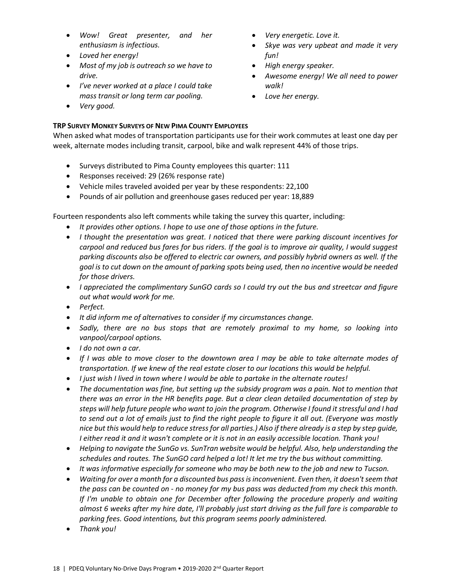- *Wow! Great presenter, and her enthusiasm is infectious.*
- *Loved her energy!*
- *Most of my job is outreach so we have to drive.*
- *I've never worked at a place I could take mass transit or long term car pooling.*
- *Very good.*

# • *Very energetic. Love it.*

- *Skye was very upbeat and made it very fun!*
- *High energy speaker.*
- *Awesome energy! We all need to power walk!*
- *Love her energy.*

# **TRP SURVEY MONKEY SURVEYS OF NEW PIMA COUNTY EMPLOYEES**

When asked what modes of transportation participants use for their work commutes at least one day per week, alternate modes including transit, carpool, bike and walk represent 44% of those trips.

- Surveys distributed to Pima County employees this quarter: 111
- Responses received: 29 (26% response rate)
- Vehicle miles traveled avoided per year by these respondents: 22,100
- Pounds of air pollution and greenhouse gases reduced per year: 18,889

Fourteen respondents also left comments while taking the survey this quarter, including:

- *It provides other options. I hope to use one of those options in the future.*
- *I thought the presentation was great. I noticed that there were parking discount incentives for carpool and reduced bus fares for bus riders. If the goal is to improve air quality, I would suggest parking discounts also be offered to electric car owners, and possibly hybrid owners as well. If the goal is to cut down on the amount of parking spots being used, then no incentive would be needed for those drivers.*
- *I appreciated the complimentary SunGO cards so I could try out the bus and streetcar and figure out what would work for me.*
- *Perfect.*
- *It did inform me of alternatives to consider if my circumstances change.*
- *Sadly, there are no bus stops that are remotely proximal to my home, so looking into vanpool/carpool options.*
- *I do not own a car.*
- *If I was able to move closer to the downtown area I may be able to take alternate modes of transportation. If we knew of the real estate closer to our locations this would be helpful.*
- *I just wish I lived in town where I would be able to partake in the alternate routes!*
- *The documentation was fine, but setting up the subsidy program was a pain. Not to mention that there was an error in the HR benefits page. But a clear clean detailed documentation of step by steps will help future people who want to join the program. Otherwise I found it stressful and I had to send out a lot of emails just to find the right people to figure it all out. (Everyone was mostly nice but this would help to reduce stress for all parties.) Also if there already is a step by step guide, I either read it and it wasn't complete or it is not in an easily accessible location. Thank you!*
- *Helping to navigate the SunGo vs. SunTran website would be helpful. Also, help understanding the schedules and routes. The SunGO card helped a lot! It let me try the bus without committing.*
- *It was informative especially for someone who may be both new to the job and new to Tucson.*
- *Waiting for over a month for a discounted bus pass is inconvenient. Even then, it doesn't seem that the pass can be counted on - no money for my bus pass was deducted from my check this month. If I'm unable to obtain one for December after following the procedure properly and waiting almost 6 weeks after my hire date, I'll probably just start driving as the full fare is comparable to parking fees. Good intentions, but this program seems poorly administered.*
- *Thank you!*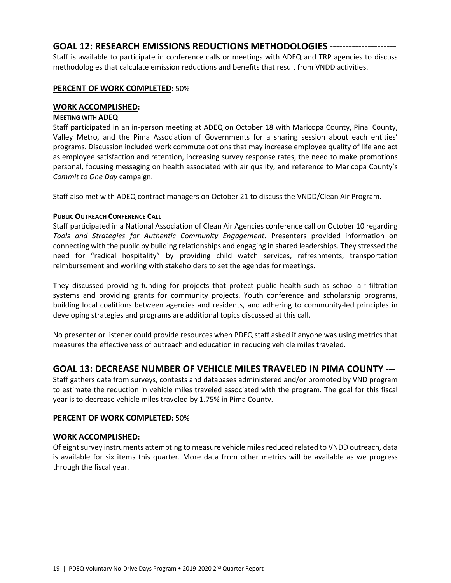# **GOAL 12: RESEARCH EMISSIONS REDUCTIONS METHODOLOGIES ---------------------**

Staff is available to participate in conference calls or meetings with ADEQ and TRP agencies to discuss methodologies that calculate emission reductions and benefits that result from VNDD activities.

### **PERCENT OF WORK COMPLETED:** 50%

### **WORK ACCOMPLISHED:**

### **MEETING WITH ADEQ**

Staff participated in an in-person meeting at ADEQ on October 18 with Maricopa County, Pinal County, Valley Metro, and the Pima Association of Governments for a sharing session about each entities' programs. Discussion included work commute options that may increase employee quality of life and act as employee satisfaction and retention, increasing survey response rates, the need to make promotions personal, focusing messaging on health associated with air quality, and reference to Maricopa County's *Commit to One Day* campaign.

Staff also met with ADEQ contract managers on October 21 to discuss the VNDD/Clean Air Program.

## **PUBLIC OUTREACH CONFERENCE CALL**

Staff participated in a National Association of Clean Air Agencies conference call on October 10 regarding *Tools and Strategies for Authentic Community Engagement*. Presenters provided information on connecting with the public by building relationships and engaging in shared leaderships. They stressed the need for "radical hospitality" by providing child watch services, refreshments, transportation reimbursement and working with stakeholders to set the agendas for meetings.

They discussed providing funding for projects that protect public health such as school air filtration systems and providing grants for community projects. Youth conference and scholarship programs, building local coalitions between agencies and residents, and adhering to community-led principles in developing strategies and programs are additional topics discussed at this call.

No presenter or listener could provide resources when PDEQ staff asked if anyone was using metrics that measures the effectiveness of outreach and education in reducing vehicle miles traveled.

# **GOAL 13: DECREASE NUMBER OF VEHICLE MILES TRAVELED IN PIMA COUNTY ---**

Staff gathers data from surveys, contests and databases administered and/or promoted by VND program to estimate the reduction in vehicle miles traveled associated with the program. The goal for this fiscal year is to decrease vehicle miles traveled by 1.75% in Pima County.

### **PERCENT OF WORK COMPLETED:** 50%

# **WORK ACCOMPLISHED:**

Of eight survey instruments attempting to measure vehicle miles reduced related to VNDD outreach, data is available for six items this quarter. More data from other metrics will be available as we progress through the fiscal year.